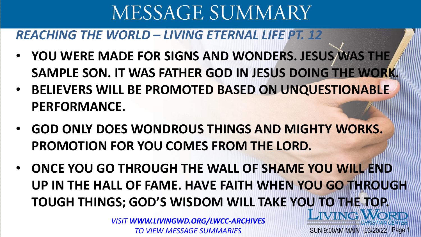#### *REACHING THE WORLD – LIVING ETERNAL LIFE PT. 12*

- **YOU WERE MADE FOR SIGNS AND WONDERS. JESUS WAS THE SAMPLE SON. IT WAS FATHER GOD IN JESUS DOING THE WORK.**
- **BELIEVERS WILL BE PROMOTED BASED ON UNQUESTIONABLE PERFORMANCE.**
- **GOD ONLY DOES WONDROUS THINGS AND MIGHTY WORKS. PROMOTION FOR YOU COMES FROM THE LORD.**
- **ONCE YOU GO THROUGH THE WALL OF SHAME YOU WILL END UP IN THE HALL OF FAME. HAVE FAITH WHEN YOU GO THROUGH TOUGH THINGS; GOD'S WISDOM WILL TAKE YOU TO THE TOP.**

SUN 9:00AM MAIN 03/20/22

*VISIT WWW.LIVINGWD.ORG/LWCC-ARCHIVES TO VIEW MESSAGE SUMMARIES*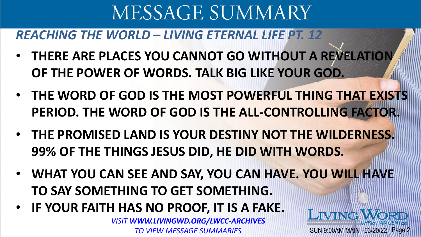*REACHING THE WORLD – LIVING ETERNAL LIFE PT. 12*

- **THERE ARE PLACES YOU CANNOT GO WITHOUT A REVELATION OF THE POWER OF WORDS. TALK BIG LIKE YOUR GOD.**
- **THE WORD OF GOD IS THE MOST POWERFUL THING THAT EXISTS PERIOD. THE WORD OF GOD IS THE ALL-CONTROLLING FACTOR.**
- **THE PROMISED LAND IS YOUR DESTINY NOT THE WILDERNESS. 99% OF THE THINGS JESUS DID, HE DID WITH WORDS.**
- **WHAT YOU CAN SEE AND SAY, YOU CAN HAVE. YOU WILL HAVE TO SAY SOMETHING TO GET SOMETHING.**

SUN 9:00AM MAIN 03/20/22 Page 2

**IVING:** 

• **IF YOUR FAITH HAS NO PROOF, IT IS A FAKE.**

*VISIT WWW.LIVINGWD.ORG/LWCC-ARCHIVES TO VIEW MESSAGE SUMMARIES*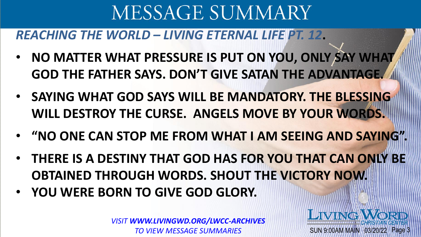#### *REACHING THE WORLD – LIVING ETERNAL LIFE PT. 12***.**

- **NO MATTER WHAT PRESSURE IS PUT ON YOU, ONLY SAY WHAT GOD THE FATHER SAYS. DON'T GIVE SATAN THE ADVANTAGE.**
- **SAYING WHAT GOD SAYS WILL BE MANDATORY. THE BLESSING WILL DESTROY THE CURSE. ANGELS MOVE BY YOUR WORDS.**
- **"NO ONE CAN STOP ME FROM WHAT I AM SEEING AND SAYING".**
- **THERE IS A DESTINY THAT GOD HAS FOR YOU THAT CAN ONLY BE OBTAINED THROUGH WORDS. SHOUT THE VICTORY NOW.**
- **YOU WERE BORN TO GIVE GOD GLORY.**

*VISIT WWW.LIVINGWD.ORG/LWCC-ARCHIVES TO VIEW MESSAGE SUMMARIES*